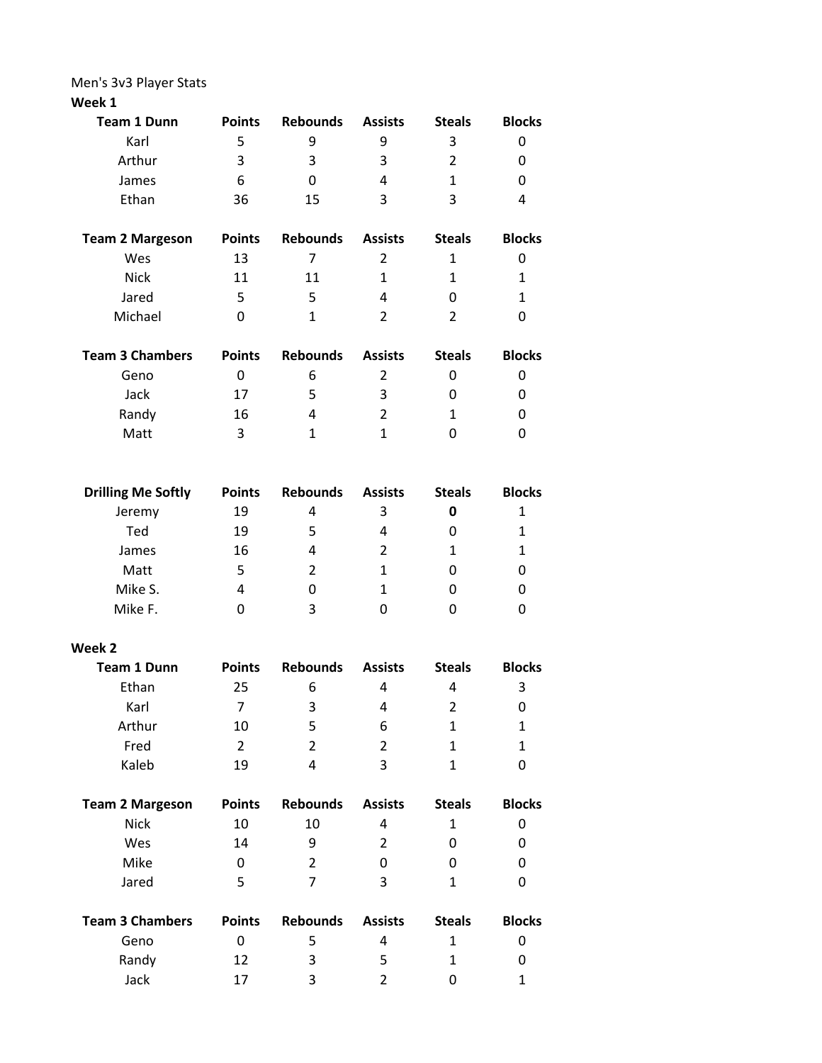Men's 3v3 Player Stats

## **Week 1**

| <b>Team 1 Dunn</b>        | <b>Points</b>  | <b>Rebounds</b> | <b>Assists</b> | <b>Steals</b>  | <b>Blocks</b> |
|---------------------------|----------------|-----------------|----------------|----------------|---------------|
| Karl                      | 5              | 9               | 9              | 3              | 0             |
| Arthur                    | 3              | 3               | 3              | $\overline{2}$ | 0             |
| James                     | 6              | 0               | 4              | $\mathbf{1}$   | 0             |
| Ethan                     | 36             | 15              | 3              | 3              | 4             |
| <b>Team 2 Margeson</b>    | <b>Points</b>  | <b>Rebounds</b> | <b>Assists</b> | <b>Steals</b>  | <b>Blocks</b> |
| Wes                       | 13             | $\overline{7}$  | $\overline{2}$ | $\mathbf{1}$   | 0             |
| <b>Nick</b>               | 11             | 11              | $\mathbf{1}$   | $\mathbf{1}$   | $\mathbf{1}$  |
| Jared                     | 5              | 5               | 4              | 0              | $\mathbf{1}$  |
| Michael                   | 0              | $\mathbf{1}$    | 2              | $\overline{2}$ | 0             |
| <b>Team 3 Chambers</b>    | <b>Points</b>  | <b>Rebounds</b> | <b>Assists</b> | <b>Steals</b>  | <b>Blocks</b> |
| Geno                      | 0              | 6               | $\overline{2}$ | 0              | 0             |
| Jack                      | 17             | 5               | 3              | 0              | 0             |
| Randy                     | 16             | 4               | $\overline{2}$ | $\mathbf{1}$   | 0             |
| Matt                      | 3              | $\mathbf{1}$    | 1              | 0              | 0             |
|                           |                |                 |                |                |               |
| <b>Drilling Me Softly</b> | <b>Points</b>  | <b>Rebounds</b> | <b>Assists</b> | <b>Steals</b>  | <b>Blocks</b> |
| Jeremy                    | 19             | 4               | 3              | 0              | 1             |
| Ted                       | 19             | 5               | 4              | 0              | 1             |
| James                     | 16             | 4               | $\overline{2}$ | $\mathbf{1}$   | $\mathbf{1}$  |
| Matt                      | 5              | $\overline{2}$  | $\mathbf{1}$   | 0              | 0             |
| Mike S.                   | 4              | 0               | 1              | 0              | 0             |
| Mike F.                   | 0              | 3               | 0              | 0              | 0             |
| Week 2                    |                |                 |                |                |               |
| <b>Team 1 Dunn</b>        | <b>Points</b>  | <b>Rebounds</b> | <b>Assists</b> | <b>Steals</b>  | <b>Blocks</b> |
| Ethan                     | 25             | 6               | 4              | 4              | 3             |
| Karl                      | 7 <sup>7</sup> | $\mathbf{3}$    | $\overline{4}$ | $2^{\circ}$    | $\mathbf 0$   |
| Arthur                    | 10             | 5               | 6              | $\mathbf{1}$   | $\mathbf{1}$  |
| Fred                      | $\overline{2}$ | $\overline{2}$  | $\overline{2}$ | $\mathbf{1}$   | $\mathbf{1}$  |
| Kaleb                     | 19             | $\overline{4}$  | 3              | $\mathbf{1}$   | 0             |
| <b>Team 2 Margeson</b>    | <b>Points</b>  | <b>Rebounds</b> | <b>Assists</b> | <b>Steals</b>  | <b>Blocks</b> |
| <b>Nick</b>               | 10             | 10              | 4              | $\mathbf{1}$   | 0             |
| Wes                       | 14             | 9               | $\overline{2}$ | 0              | 0             |
| Mike                      | 0              | $\overline{2}$  | 0              | 0              | 0             |
| Jared                     | 5              | $\overline{7}$  | 3              | $\mathbf{1}$   | 0             |
|                           |                |                 |                |                |               |

| Team 3 Chambers | <b>Points</b> | <b>Rebounds</b> | <b>Assists</b> | <b>Steals</b> | <b>Blocks</b> |
|-----------------|---------------|-----------------|----------------|---------------|---------------|
| Geno            |               | ∽               |                |               |               |
| Randy           | 12            | ર               | ∽              |               |               |
| Jack            | 17            | 2               |                |               |               |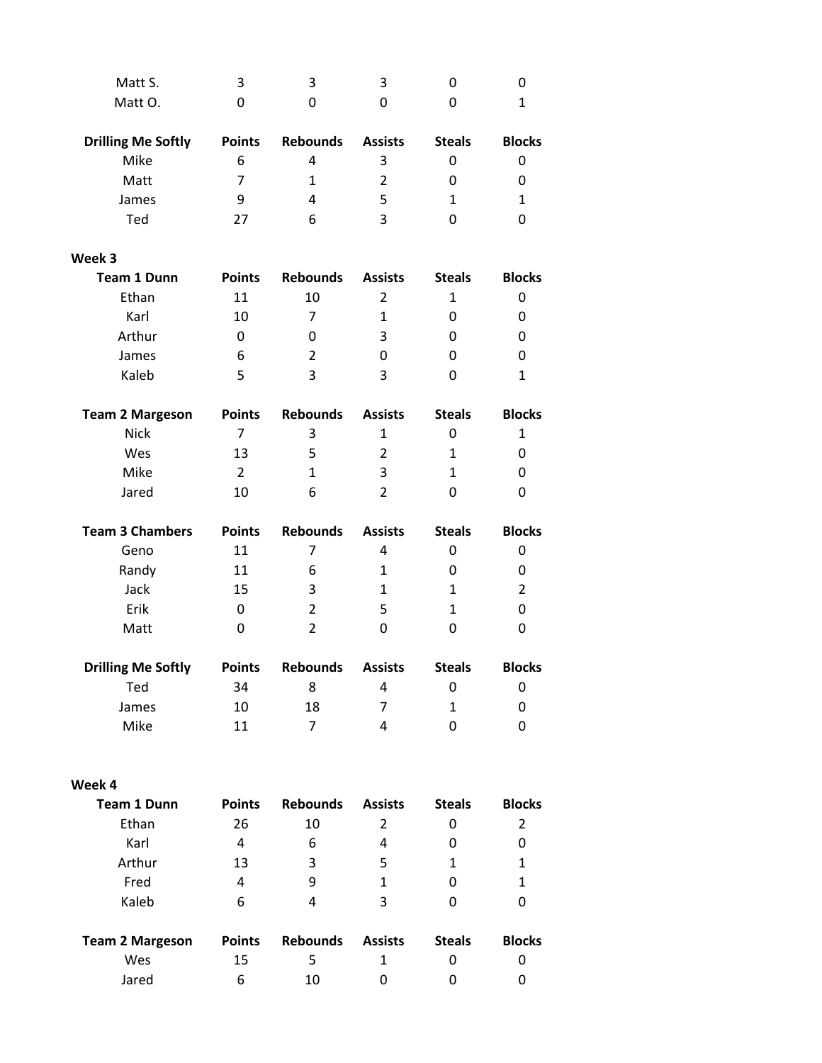| Matt S.                   | 3             | 3               | 3              | 0             | 0              |
|---------------------------|---------------|-----------------|----------------|---------------|----------------|
| Matt O.                   | 0             | 0               | 0              | 0             | $\mathbf{1}$   |
| <b>Drilling Me Softly</b> | <b>Points</b> | <b>Rebounds</b> | <b>Assists</b> | <b>Steals</b> | <b>Blocks</b>  |
| Mike                      | 6             | $\overline{4}$  | 3              | 0             | 0              |
| Matt                      | 7             | $\mathbf{1}$    | $\overline{2}$ | 0             | 0              |
| James                     | 9             | 4               | 5              | $\mathbf{1}$  | $\mathbf{1}$   |
| Ted                       | 27            | 6               | 3              | 0             | 0              |
| Week 3                    |               |                 |                |               |                |
| <b>Team 1 Dunn</b>        | <b>Points</b> | <b>Rebounds</b> | <b>Assists</b> | <b>Steals</b> | <b>Blocks</b>  |
| Ethan                     | 11            | 10              | $\overline{2}$ | 1             | 0              |
| Karl                      | 10            | $\overline{7}$  | $\mathbf{1}$   | 0             | 0              |
| Arthur                    | 0             | 0               | 3              | 0             | 0              |
| James                     | 6             | $\overline{2}$  | 0              | 0             | 0              |
| Kaleb                     | 5             | 3               | 3              | 0             | $\mathbf{1}$   |
| <b>Team 2 Margeson</b>    | <b>Points</b> | <b>Rebounds</b> | <b>Assists</b> | <b>Steals</b> | <b>Blocks</b>  |
| <b>Nick</b>               | 7             | 3               | $\mathbf 1$    | 0             | $\mathbf{1}$   |
| Wes                       | 13            | 5               | 2              | $\mathbf{1}$  | 0              |
| Mike                      | 2             | $\mathbf{1}$    | 3              | $\mathbf{1}$  | 0              |
| Jared                     | 10            | 6               | $\overline{2}$ | 0             | 0              |
| <b>Team 3 Chambers</b>    | <b>Points</b> | <b>Rebounds</b> | <b>Assists</b> | <b>Steals</b> | <b>Blocks</b>  |
| Geno                      | 11            | 7               | 4              | 0             | 0              |
| Randy                     | 11            | 6               | $\mathbf{1}$   | 0             | 0              |
| Jack                      | 15            | 3               | $\mathbf{1}$   | $\mathbf{1}$  | $\overline{2}$ |
| Erik                      | 0             | 2               | 5              | 1             | 0              |
| Matt                      | 0             | $\overline{2}$  | 0              | 0             | 0              |
| <b>Drilling Me Softly</b> | <b>Points</b> | <b>Rebounds</b> | <b>Assists</b> | <b>Steals</b> | <b>Blocks</b>  |
| Ted                       | 34            | 8               | 4              | 0             | 0              |
| James                     | 10            | 18              | 7              | $\mathbf{1}$  | 0              |
| Mike                      | 11            | $\overline{7}$  | 4              | 0             | 0              |
| Week 4                    |               |                 |                |               |                |
| <b>Team 1 Dunn</b>        | <b>Points</b> | <b>Rebounds</b> | <b>Assists</b> | <b>Steals</b> | <b>Blocks</b>  |
| Ethan                     | 26            | 10              | $\overline{2}$ | 0             | $\overline{2}$ |
| Karl                      | 4             | 6               | 4              | 0             | 0              |
| Arthur                    | 13            | 3               | 5              | $\mathbf{1}$  | $\mathbf{1}$   |
| Fred                      | 4             | 9               | $\mathbf{1}$   | 0             | $\mathbf{1}$   |
| Kaleb                     | 6             | 4               | 3              | 0             | 0              |
| <b>Team 2 Margeson</b>    | <b>Points</b> | <b>Rebounds</b> | <b>Assists</b> | <b>Steals</b> | <b>Blocks</b>  |
| Wes                       | 15            | 5               | $\mathbf{1}$   | 0             | 0              |
| Jared                     | 6             | 10              | 0              | 0             | 0              |
|                           |               |                 |                |               |                |